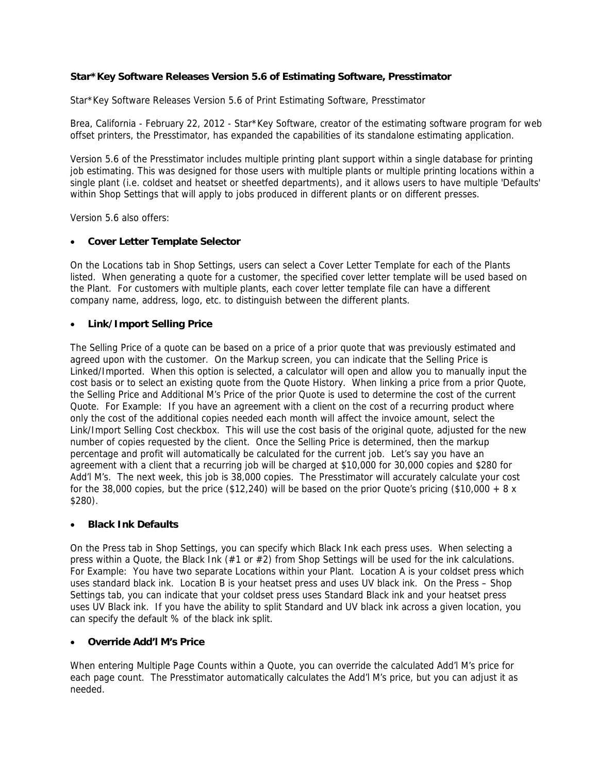# **Star\*Key Software Releases Version 5.6 of Estimating Software, Presstimator**

Star\*Key Software Releases Version 5.6 of Print Estimating Software, Presstimator

Brea, California - February 22, 2012 - Star\*Key Software, creator of the estimating software program for web offset printers, the Presstimator, has expanded the capabilities of its standalone estimating application.

Version 5.6 of the Presstimator includes multiple printing plant support within a single database for printing job estimating. This was designed for those users with multiple plants or multiple printing locations within a single plant (i.e. coldset and heatset or sheetfed departments), and it allows users to have multiple 'Defaults' within Shop Settings that will apply to jobs produced in different plants or on different presses.

Version 5.6 also offers:

### • **Cover Letter Template Selector**

On the Locations tab in Shop Settings, users can select a Cover Letter Template for each of the Plants listed. When generating a quote for a customer, the specified cover letter template will be used based on the Plant. For customers with multiple plants, each cover letter template file can have a different company name, address, logo, etc. to distinguish between the different plants.

### • **Link/Import Selling Price**

The Selling Price of a quote can be based on a price of a prior quote that was previously estimated and agreed upon with the customer. On the Markup screen, you can indicate that the Selling Price is Linked/Imported. When this option is selected, a calculator will open and allow you to manually input the cost basis or to select an existing quote from the Quote History. When linking a price from a prior Quote, the Selling Price and Additional M's Price of the prior Quote is used to determine the cost of the current Quote. For Example: If you have an agreement with a client on the cost of a recurring product where only the cost of the additional copies needed each month will affect the invoice amount, select the Link/Import Selling Cost checkbox. This will use the cost basis of the original quote, adjusted for the new number of copies requested by the client. Once the Selling Price is determined, then the markup percentage and profit will automatically be calculated for the current job. Let's say you have an agreement with a client that a recurring job will be charged at \$10,000 for 30,000 copies and \$280 for Add'l M's. The next week, this job is 38,000 copies. The Presstimator will accurately calculate your cost for the 38,000 copies, but the price (\$12,240) will be based on the prior Quote's pricing (\$10,000 + 8  $\times$ \$280).

#### • **Black Ink Defaults**

On the Press tab in Shop Settings, you can specify which Black Ink each press uses. When selecting a press within a Quote, the Black Ink  $(\#1 \text{ or } \#2)$  from Shop Settings will be used for the ink calculations. For Example: You have two separate Locations within your Plant. Location A is your coldset press which uses standard black ink. Location B is your heatset press and uses UV black ink. On the Press – Shop Settings tab, you can indicate that your coldset press uses Standard Black ink and your heatset press uses UV Black ink. If you have the ability to split Standard and UV black ink across a given location, you can specify the default % of the black ink split.

#### • **Override Add'l M's Price**

When entering Multiple Page Counts within a Quote, you can override the calculated Add'l M's price for each page count. The Presstimator automatically calculates the Add'l M's price, but you can adjust it as needed.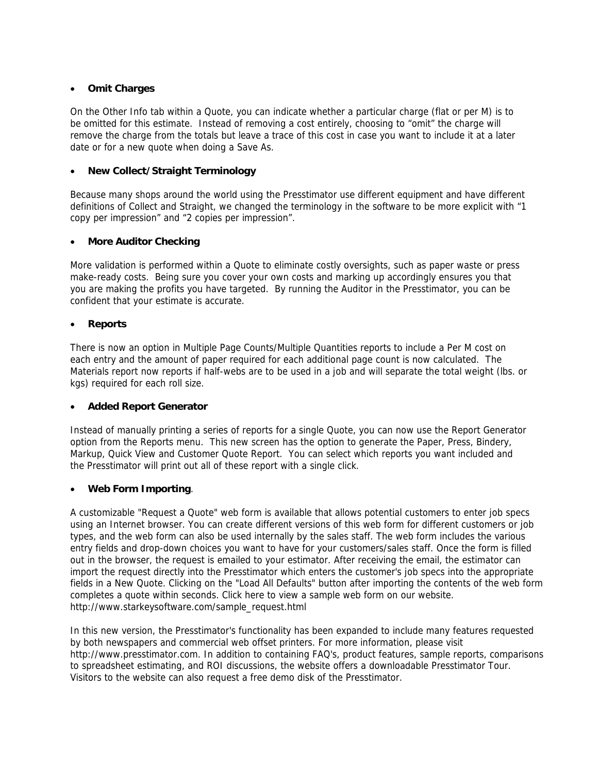## • **Omit Charges**

On the Other Info tab within a Quote, you can indicate whether a particular charge (flat or per M) is to be omitted for this estimate. Instead of removing a cost entirely, choosing to "omit" the charge will remove the charge from the totals but leave a trace of this cost in case you want to include it at a later date or for a new quote when doing a Save As.

# • **New Collect/Straight Terminology**

Because many shops around the world using the Presstimator use different equipment and have different definitions of Collect and Straight, we changed the terminology in the software to be more explicit with "1 copy per impression" and "2 copies per impression".

### • **More Auditor Checking**

More validation is performed within a Quote to eliminate costly oversights, such as paper waste or press make-ready costs. Being sure you cover your own costs and marking up accordingly ensures you that you are making the profits you have targeted. By running the Auditor in the Presstimator, you can be confident that your estimate is accurate.

### • **Reports**

There is now an option in Multiple Page Counts/Multiple Quantities reports to include a Per M cost on each entry and the amount of paper required for each additional page count is now calculated. The Materials report now reports if half-webs are to be used in a job and will separate the total weight (lbs. or kgs) required for each roll size.

#### • **Added Report Generator**

Instead of manually printing a series of reports for a single Quote, you can now use the Report Generator option from the Reports menu. This new screen has the option to generate the Paper, Press, Bindery, Markup, Quick View and Customer Quote Report. You can select which reports you want included and the Presstimator will print out all of these report with a single click.

# • **Web Form Importing**.

A customizable "Request a Quote" web form is available that allows potential customers to enter job specs using an Internet browser. You can create different versions of this web form for different customers or job types, and the web form can also be used internally by the sales staff. The web form includes the various entry fields and drop-down choices you want to have for your customers/sales staff. Once the form is filled out in the browser, the request is emailed to your estimator. After receiving the email, the estimator can import the request directly into the Presstimator which enters the customer's job specs into the appropriate fields in a New Quote. Clicking on the "Load All Defaults" button after importing the contents of the web form completes a quote within seconds. Click here to view a sample web form on our website. http://www.starkeysoftware.com/sample\_request.html

In this new version, the Presstimator's functionality has been expanded to include many features requested by both newspapers and commercial web offset printers. For more information, please visit http://www.presstimator.com. In addition to containing FAQ's, product features, sample reports, comparisons to spreadsheet estimating, and ROI discussions, the website offers a downloadable Presstimator Tour. Visitors to the website can also request a free demo disk of the Presstimator.